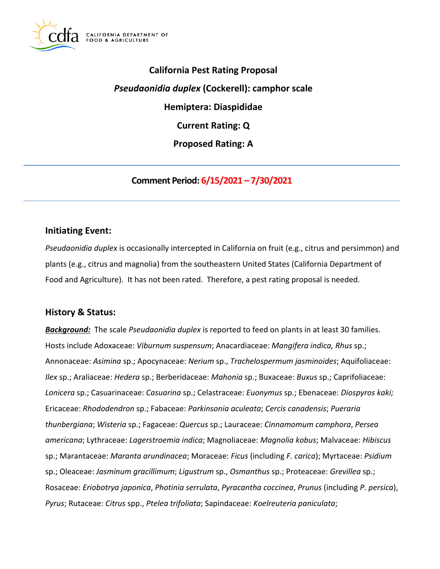

**California Pest Rating Proposal**  *Pseudaonidia duplex* **(Cockerell): camphor scale Hemiptera: Diaspididae Current Rating: Q Proposed Rating: A** 

**Comment Period: 6/15/2021 – 7/30/2021** 

## **Initiating Event:**

*Pseudaonidia duplex* is occasionally intercepted in California on fruit (e.g., citrus and persimmon) and plants (e.g., citrus and magnolia) from the southeastern United States (California Department of Food and Agriculture). It has not been rated. Therefore, a pest rating proposal is needed.

### **History & Status:**

*Background:* The scale *Pseudaonidia duplex* is reported to feed on plants in at least 30 families. Hosts include Adoxaceae: *Viburnum suspensum*; Anacardiaceae: *Mangifera indica, Rhus* sp.; Annonaceae: *Asimina* sp.; Apocynaceae: *Nerium* sp., *Trachelospermum jasminoides*; Aquifoliaceae: *Ilex* sp.; Araliaceae: *Hedera* sp.; Berberidaceae: *Mahonia* sp.; Buxaceae: *Buxus* sp.; Caprifoliaceae: *Lonicera* sp.; Casuarinaceae: *Casuarina* sp.; Celastraceae: *Euonymus* sp.; Ebenaceae: *Diospyros kaki;*  Ericaceae: *Rhododendron* sp.; Fabaceae: *Parkinsonia aculeata*; *Cercis canadensis*; *Pueraria thunbergiana*; *Wisteria* sp.; Fagaceae: *Quercus* sp.; Lauraceae: *Cinnamomum camphora*, *Persea americana*; Lythraceae: *Lagerstroemia indica*; Magnoliaceae: *Magnolia kobus*; Malvaceae: *Hibiscus*  sp.; Marantaceae: *Maranta arundinacea*; Moraceae: *Ficus* (including *F. carica*); Myrtaceae: *Psidium*  sp.; Oleaceae: *Jasminum gracillimum*; *Ligustrum* sp., *Osmanthus* sp.; Proteaceae: *Grevillea* sp.; Rosaceae: *Eriobotrya japonica*, *Photinia serrulata*, *Pyracantha coccinea*, *Prunus* (including *P. persica*), *Pyrus*; Rutaceae: *Citrus* spp., *Ptelea trifoliata*; Sapindaceae: *Koelreuteria paniculata*;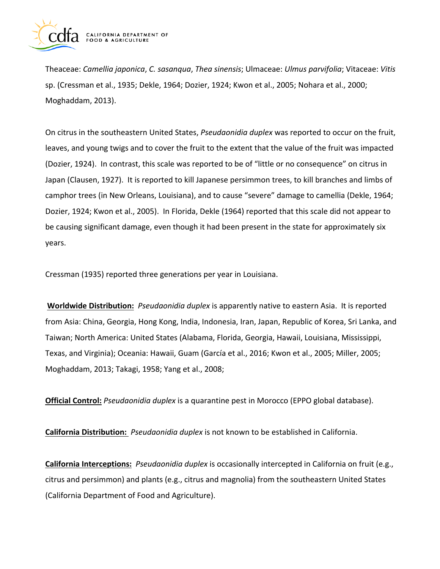

Theaceae: *Camellia japonica*, *C. sasanqua*, *Thea sinensis*; Ulmaceae: *Ulmus parvifolia*; Vitaceae: *Vitis*  sp. (Cressman et al., 1935; Dekle, 1964; Dozier, 1924; Kwon et al., 2005; Nohara et al., 2000; Moghaddam, 2013).

On citrus in the southeastern United States, *Pseudaonidia duplex* was reported to occur on the fruit, leaves, and young twigs and to cover the fruit to the extent that the value of the fruit was impacted (Dozier, 1924). In contrast, this scale was reported to be of "little or no consequence" on citrus in Japan (Clausen, 1927). It is reported to kill Japanese persimmon trees, to kill branches and limbs of camphor trees (in New Orleans, Louisiana), and to cause "severe" damage to camellia (Dekle, 1964; Dozier, 1924; Kwon et al., 2005). In Florida, Dekle (1964) reported that this scale did not appear to be causing significant damage, even though it had been present in the state for approximately six years.

Cressman (1935) reported three generations per year in Louisiana.

**Worldwide Distribution:** *Pseudaonidia duplex* is apparently native to eastern Asia. It is reported from Asia: China, Georgia, Hong Kong, India, Indonesia, Iran, Japan, Republic of Korea, Sri Lanka, and Taiwan; North America: United States (Alabama, Florida, Georgia, Hawaii, Louisiana, Mississippi, Texas, and Virginia); Oceania: Hawaii, Guam (García et al., 2016; Kwon et al., 2005; Miller, 2005; Moghaddam, 2013; Takagi, 1958; Yang et al., 2008;

**Official Control:** *Pseudaonidia duplex* is a quarantine pest in Morocco (EPPO global database).

**California Distribution:** *Pseudaonidia duplex* is not known to be established in California.

**California Interceptions:** *Pseudaonidia duplex* is occasionally intercepted in California on fruit (e.g., citrus and persimmon) and plants (e.g., citrus and magnolia) from the southeastern United States (California Department of Food and Agriculture).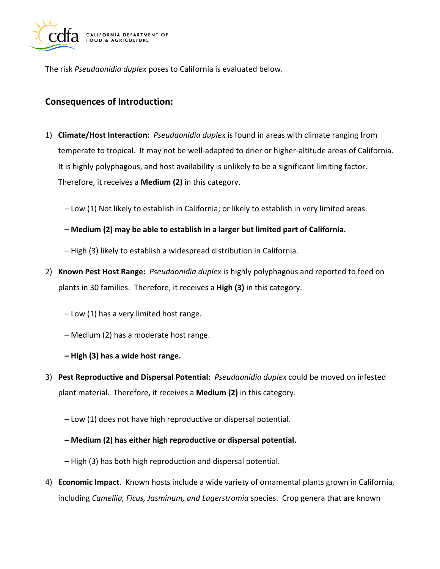

The risk *Pseudaonidia duplex* poses to California is evaluated below.

## **Consequences of Introduction:**

- 1) **Climate/Host Interaction:** *Pseudaonidia duplex* is found in areas with climate ranging from temperate to tropical. It may not be well-adapted to drier or higher-altitude areas of California. It is highly polyphagous, and host availability is unlikely to be a significant limiting factor. Therefore, it receives a **Medium (2)** in this category.
	- Low (1) Not likely to establish in California; or likely to establish in very limited areas.
	- **Medium (2) may be able to establish in a larger but limited part of California.**
	- High (3) likely to establish a widespread distribution in California.
- 2) **Known Pest Host Range:** *Pseudaonidia duplex* is highly polyphagous and reported to feed on plants in 30 families. Therefore, it receives a **High (3)** in this category.
	- Low (1) has a very limited host range.
	- Medium (2) has a moderate host range.
	- **High (3) has a wide host range.**
- 3) **Pest Reproductive and Dispersal Potential:** *Pseudaonidia duplex* could be moved on infested plant material. Therefore, it receives a **Medium (2)** in this category.
	- Low (1) does not have high reproductive or dispersal potential.
	- **Medium (2) has either high reproductive or dispersal potential.**
	- High (3) has both high reproduction and dispersal potential.
- 4) **Economic Impact**. Known hosts include a wide variety of ornamental plants grown in California, including *Camellia, Ficus, Jasminum, and Lagerstromia* species. Crop genera that are known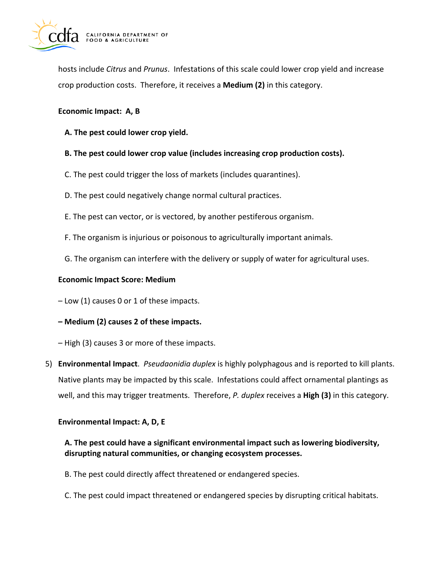

hosts include *Citrus* and *Prunus*. Infestations of this scale could lower crop yield and increase crop production costs. Therefore, it receives a **Medium (2)** in this category.

#### **Economic Impact: A, B**

- **A. The pest could lower crop yield.**
- **B. The pest could lower crop value (includes increasing crop production costs).**
- C. The pest could trigger the loss of markets (includes quarantines).
- D. The pest could negatively change normal cultural practices.
- E. The pest can vector, or is vectored, by another pestiferous organism.
- F. The organism is injurious or poisonous to agriculturally important animals.
- G. The organism can interfere with the delivery or supply of water for agricultural uses.

#### **Economic Impact Score: Medium**

– Low (1) causes 0 or 1 of these impacts.

- **Medium (2) causes 2 of these impacts.**
- High (3) causes 3 or more of these impacts.
- 5) **Environmental Impact**. *Pseudaonidia duplex* is highly polyphagous and is reported to kill plants. Native plants may be impacted by this scale. Infestations could affect ornamental plantings as well, and this may trigger treatments. Therefore, *P. duplex* receives a **High (3)** in this category.

#### **Environmental Impact: A, D, E**

### **A. The pest could have a significant environmental impact such as lowering biodiversity, disrupting natural communities, or changing ecosystem processes.**

- B. The pest could directly affect threatened or endangered species.
- C. The pest could impact threatened or endangered species by disrupting critical habitats.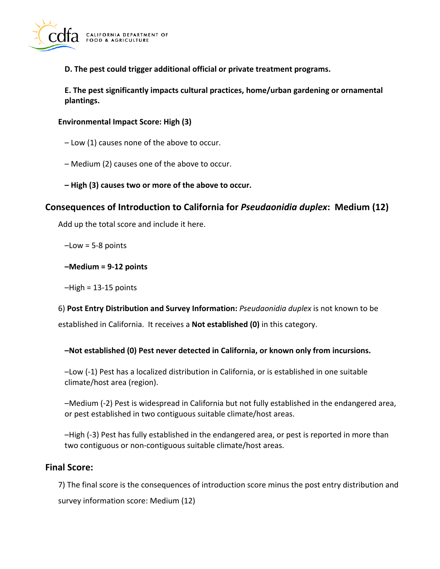

**D. The pest could trigger additional official or private treatment programs.** 

**E. The pest significantly impacts cultural practices, home/urban gardening or ornamental plantings.** 

#### **Environmental Impact Score: High (3)**

- Low (1) causes none of the above to occur.
- Medium (2) causes one of the above to occur.
- **High (3) causes two or more of the above to occur.**

## **Consequences of Introduction to California for** *Pseudaonidia duplex***: Medium (12)**

Add up the total score and include it here.

 $-Low = 5-8$  points

**–Medium = 9-12 points** 

 $-High = 13-15$  points

6) **Post Entry Distribution and Survey Information:** *Pseudaonidia duplex* is not known to be established in California. It receives a **Not established (0)** in this category.

**–Not established (0) Pest never detected in California, or known only from incursions.** 

–Low (-1) Pest has a localized distribution in California, or is established in one suitable climate/host area (region).

–Medium (-2) Pest is widespread in California but not fully established in the endangered area, or pest established in two contiguous suitable climate/host areas.

–High (-3) Pest has fully established in the endangered area, or pest is reported in more than two contiguous or non-contiguous suitable climate/host areas.

### **Final Score:**

7) The final score is the consequences of introduction score minus the post entry distribution and survey information score: Medium (12)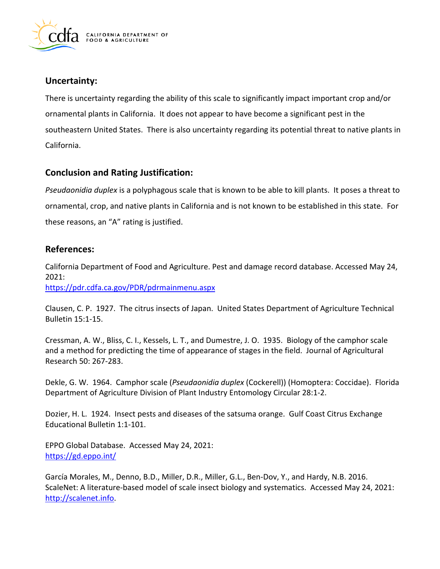

## **Uncertainty:**

There is uncertainty regarding the ability of this scale to significantly impact important crop and/or ornamental plants in California. It does not appear to have become a significant pest in the southeastern United States. There is also uncertainty regarding its potential threat to native plants in California.

## **Conclusion and Rating Justification:**

*Pseudaonidia duplex* is a polyphagous scale that is known to be able to kill plants. It poses a threat to ornamental, crop, and native plants in California and is not known to be established in this state. For these reasons, an "A" rating is justified.

## **References:**

California Department of Food and Agriculture. Pest and damage record database. Accessed May 24, 2021:

<https://pdr.cdfa.ca.gov/PDR/pdrmainmenu.aspx>

Clausen, C. P. 1927. The citrus insects of Japan. United States Department of Agriculture Technical Bulletin 15:1-15.

Cressman, A. W., Bliss, C. I., Kessels, L. T., and Dumestre, J. O. 1935. Biology of the camphor scale and a method for predicting the time of appearance of stages in the field. Journal of Agricultural Research 50: 267-283.

Dekle, G. W. 1964. Camphor scale (*Pseudaonidia duplex* (Cockerell)) (Homoptera: Coccidae). Florida Department of Agriculture Division of Plant Industry Entomology Circular 28:1-2.

Dozier, H. L. 1924. Insect pests and diseases of the satsuma orange. Gulf Coast Citrus Exchange Educational Bulletin 1:1-101.

EPPO Global Database. Accessed May 24, 2021: <https://gd.eppo.int/>

García Morales, M., Denno, B.D., Miller, D.R., Miller, G.L., Ben-Dov, Y., and Hardy, N.B. 2016. ScaleNet: A literature-based model of scale insect biology and systematics. Accessed May 24, 2021: [http://scalenet.info.](http://scalenet.info/)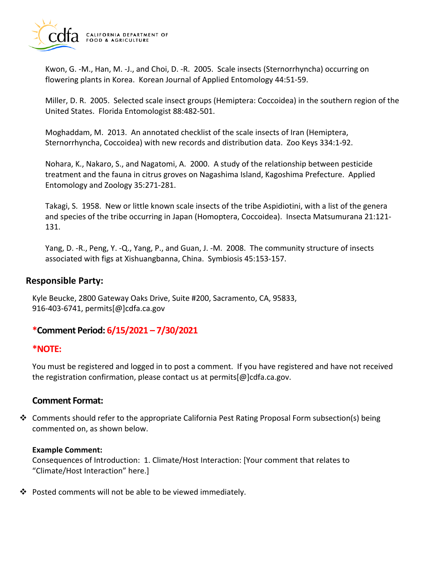

Kwon, G. -M., Han, M. -J., and Choi, D. -R. 2005. Scale insects (Sternorrhyncha) occurring on flowering plants in Korea. Korean Journal of Applied Entomology 44:51-59.

Miller, D. R. 2005. Selected scale insect groups (Hemiptera: Coccoidea) in the southern region of the United States. Florida Entomologist 88:482-501.

Moghaddam, M. 2013. An annotated checklist of the scale insects of Iran (Hemiptera, Sternorrhyncha, Coccoidea) with new records and distribution data. Zoo Keys 334:1-92.

Nohara, K., Nakaro, S., and Nagatomi, A. 2000. A study of the relationship between pesticide treatment and the fauna in citrus groves on Nagashima Island, Kagoshima Prefecture. Applied Entomology and Zoology 35:271-281.

Takagi, S. 1958. New or little known scale insects of the tribe Aspidiotini, with a list of the genera and species of the tribe occurring in Japan (Homoptera, Coccoidea). Insecta Matsumurana 21:121- 131.

Yang, D. -R., Peng, Y. -Q., Yang, P., and Guan, J. -M. 2008. The community structure of insects associated with figs at Xishuangbanna, China. Symbiosis 45:153-157.

### **Responsible Party:**

Kyle Beucke, 2800 Gateway Oaks Drive, Suite #200, Sacramento, CA, 95833, 916-403-6741, [permits\[@\]cdfa.ca.gov](https://permits[@]cdfa.ca.gov) 

# **\*Comment Period: 6/15/2021 – 7/30/2021**

### **\*NOTE:**

You must be registered and logged in to post a comment. If you have registered and have not received the registration confirmation, please contact us at [permits\[@\]cdfa.ca.gov](https://permits[@]cdfa.ca.gov).

### **Comment Format:**

 $\div$  Comments should refer to the appropriate California Pest Rating Proposal Form subsection(s) being commented on, as shown below.

#### **Example Comment:**

Consequences of Introduction: 1. Climate/Host Interaction: [Your comment that relates to "Climate/Host Interaction" here.]

Posted comments will not be able to be viewed immediately.